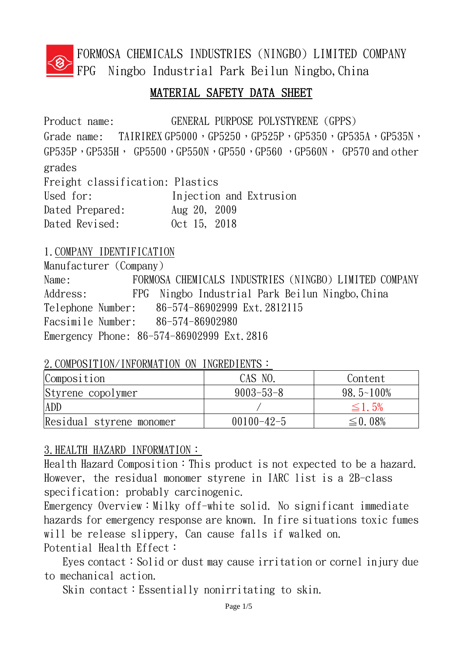

FORMOSA CHEMICALS INDUSTRIES (NINGBO) LIMITED COMPANY FPG Ningbo Industrial Park Beilun Ningbo,China

## MATERIAL SAFETY DATA SHEET

Product name: GENERAL PURPOSE POLYSTYRENE (GPPS) Grade name: TAIRIREX GP5000, GP5250, GP525P, GP5350, GP535A, GP535N,  $GP535P$ ,  $GP535H$ ,  $GP5500$ ,  $GP550N$ ,  $GP550$ ,  $GP560$ ,  $GP560N$ ,  $GP570$  and other grades Freight classification: Plastics Used for: Injection and Extrusion Dated Prepared: Aug 20, 2009 Dated Revised: 0ct 15, 2018

### 1.COMPANY IDENTIFICATION

Manufacturer (Company) Name: FORMOSA CHEMICALS INDUSTRIES (NINGBO) LIMITED COMPANY Address: FPG Ningbo Industrial Park Beilun Ningbo, China Telephone Number: 86-574-86902999 Ext.2812115 Facsimile Number: 86-574-86902980 Emergency Phone: 86-574-86902999 Ext.2816

#### 2. COMPOSITION/INFORMATION ON INGREDIENTS:

| Composition              | CAS NO.          | Content                |
|--------------------------|------------------|------------------------|
| Styrene copolymer        | $9003 - 53 - 8$  | $98.5 \text{--} 100\%$ |
| ADD                      |                  | $\leq$ 1.5%            |
| Residual styrene monomer | $00100 - 42 - 5$ | $\leq$ 0. 08%          |

## 3.HEALTH HAZARD INFORMATION:

Health Hazard Composition: This product is not expected to be a hazard. However, the residual monomer styrene in IARC list is a 2B-class specification: probably carcinogenic.

Emergency Overview: Milky off-white solid. No significant immediate hazards for emergency response are known. In fire situations toxic fumes will be release slippery, Can cause falls if walked on. Potential Health Effect:

Eyes contact: Solid or dust may cause irritation or cornel injury due to mechanical action.

Skin contact: Essentially nonirritating to skin.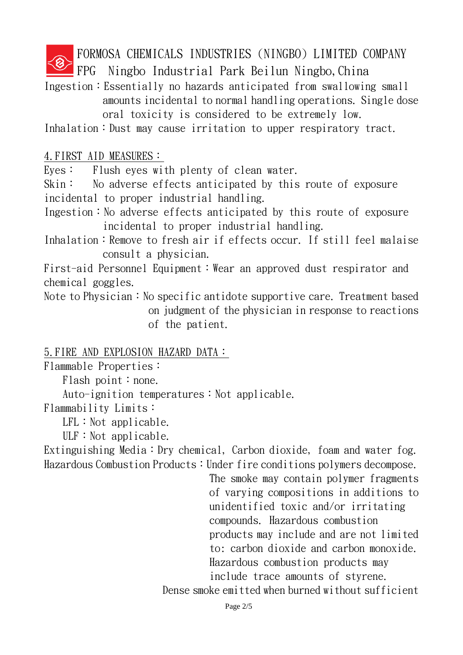FORMOSA CHEMICALS INDUSTRIES (NINGBO) LIMITED COMPANY

FPG Ningbo Industrial Park Beilun Ningbo,China

Ingestion:Essentially no hazards anticipated from swallowing small amounts incidental to normal handling operations. Single dose oral toxicity is considered to be extremely low.

Inhalation: Dust may cause irritation to upper respiratory tract.

#### 4.FIRST AID MEASURES:

Eyes: Flush eyes with plenty of clean water.

Skin: No adverse effects anticipated by this route of exposure incidental to proper industrial handling.

Ingestion: No adverse effects anticipated by this route of exposure incidental to proper industrial handling.

Inhalation: Remove to fresh air if effects occur. If still feel malaise consult a physician.

First-aid Personnel Equipment: Wear an approved dust respirator and chemical goggles.

Note to Physician: No specific antidote supportive care. Treatment based on judgment of the physician in response to reactions of the patient.

#### 5.FIRE AND EXPLOSION HAZARD DATA:

Flammable Properties:

Flash point: none.

Auto-ignition temperatures: Not applicable.

Flammability Limits:

 $LFL:Not a  
pplied be.$ 

 $ULF: Not applicable.$ 

Extinguishing Media: Dry chemical, Carbon dioxide, foam and water fog. Hazardous Combustion Products: Under fire conditions polymers decompose.

> The smoke may contain polymer fragments of varying compositions in additions to unidentified toxic and/or irritating compounds. Hazardous combustion products may include and are not limited to: carbon dioxide and carbon monoxide. Hazardous combustion products may include trace amounts of styrene.

Dense smoke emitted when burned without sufficient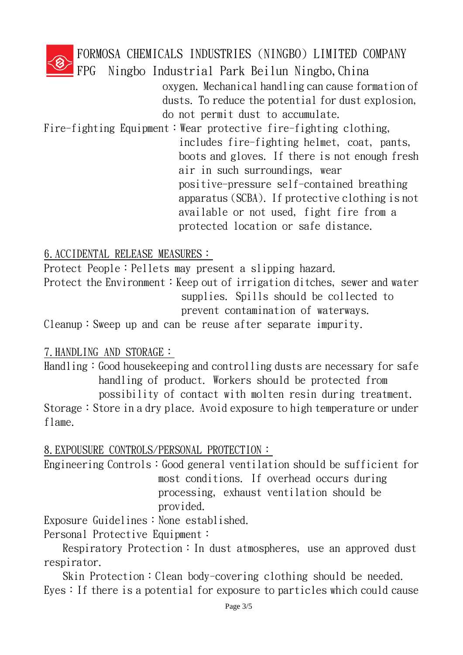

FORMOSA CHEMICALS INDUSTRIES (NINGBO) LIMITED COMPANY

FPG Ningbo Industrial Park Beilun Ningbo,China

oxygen. Mechanical handling can cause formation of dusts. To reduce the potential for dust explosion, do not permit dust to accumulate.

Fire-fighting Equipment: Wear protective fire-fighting clothing, includes fire-fighting helmet, coat, pants, boots and gloves. If there is not enough fresh air in such surroundings, wear positive-pressure self-contained breathing apparatus (SCBA). If protective clothing is not available or not used, fight fire from a protected location or safe distance.

6.ACCIDENTAL RELEASE MEASURES:

Protect People: Pellets may present a slipping hazard. Protect the Environment: Keep out of irrigation ditches, sewer and water supplies. Spills should be collected to prevent contamination of waterways.

Cleanup:Sweep up and can be reuse after separate impurity.

## 7.HANDLING AND STORAGE:

Handling: Good house keeping and controlling dusts are necessary for safe handling of product. Workers should be protected from possibility of contact with molten resin during treatment. Storage: Store in a dry place. Avoid exposure to high temperature or under

flame.

8.EXPOUSURE CONTROLS/PERSONAL PROTECTION:

Engineering Controls: Good general ventilation should be sufficient for most conditions. If overhead occurs during processing, exhaust ventilation should be provided.

Exposure Guidelines: None established.

Personal Protective Equipment:

Respiratory Protection: In dust atmospheres, use an approved dust respirator.

Skin Protection: Clean body-covering clothing should be needed. Eyes: If there is a potential for exposure to particles which could cause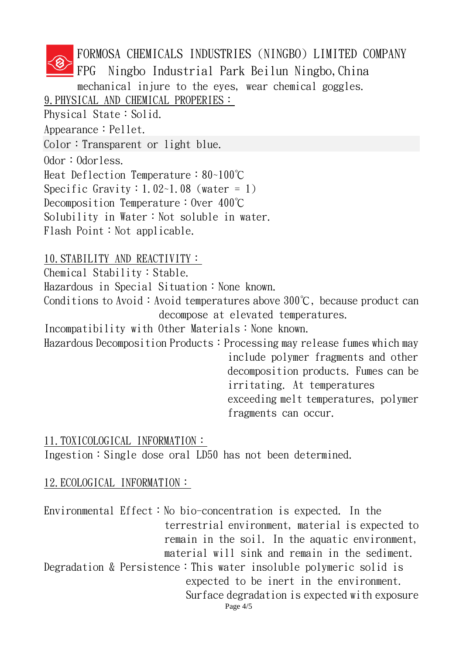FORMOSA CHEMICALS INDUSTRIES (NINGBO) LIMITED COMPANY FPG Ningbo Industrial Park Beilun Ningbo,China mechanical injure to the eyes, wear chemical goggles. 9. PHYSICAL AND CHEMICAL PROPERIES: Physical State: Solid. Appearance: Pellet. Color: Transparent or light blue. Odor: Odorless. Heat Deflection Temperature:80~100℃ Specific Gravity:  $1.02 - 1.08$  (water = 1) Decomposition Temperature: Over 400℃ Solubility in Water: Not soluble in water. Flash Point: Not applicable.

10.STABILITY AND REACTIVITY: Chemical Stability: Stable.

 $Hazardous$  in Special Situation: None known.

Conditions to Avoid: Avoid temperatures above  $300^{\circ}$ C, because product can decompose at elevated temperatures.

Incompatibility with Other Materials: None known.

Hazardous Decomposition Products: Processing may release fumes which may include polymer fragments and other decomposition products. Fumes can be irritating. At temperatures exceeding melt temperatures, polymer fragments can occur.

#### 11.TOXICOLOGICAL INFORMATION:

Ingestion: Single dose oral LD50 has not been determined.

## 12.ECOLOGICAL INFORMATION:

Page 4/5 Environmental Effect: No bio-concentration is expected. In the terrestrial environment, material is expected to remain in the soil. In the aquatic environment, material will sink and remain in the sediment. Degradation & Persistence: This water insoluble polymeric solid is expected to be inert in the environment. Surface degradation is expected with exposure